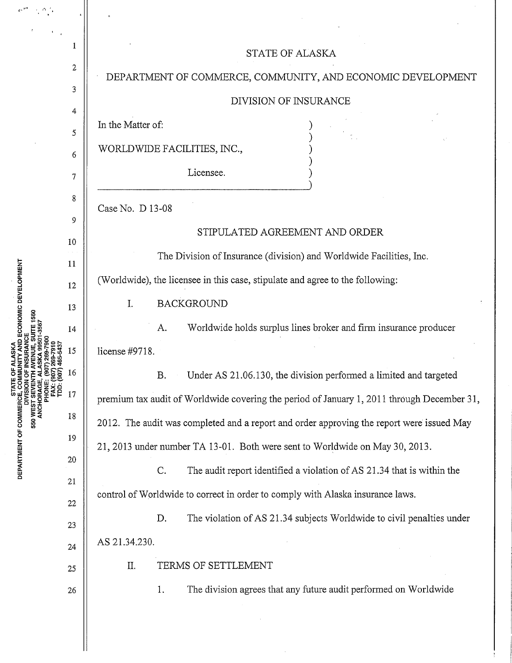| ECONOMIC DEVELOPMENT<br><b>STATE</b><br>DEPARTMENT OF COMMERCE, COM<br>DIVISION | 1                | <b>STATE OF ALASKA</b>                                                                     |
|---------------------------------------------------------------------------------|------------------|--------------------------------------------------------------------------------------------|
|                                                                                 | $\boldsymbol{2}$ | DEPARTMENT OF COMMERCE, COMMUNITY, AND ECONOMIC DEVELOPMENT                                |
|                                                                                 | 3                | DIVISION OF INSURANCE                                                                      |
|                                                                                 | 4                | In the Matter of:                                                                          |
|                                                                                 | 5                | WORLDWIDE FACILITIES, INC.,                                                                |
|                                                                                 | 6                |                                                                                            |
|                                                                                 | $\tau$           | Licensee.                                                                                  |
|                                                                                 | 8                | Case No. D 13-08                                                                           |
|                                                                                 | 9                | STIPULATED AGREEMENT AND ORDER                                                             |
|                                                                                 | 10               | The Division of Insurance (division) and Worldwide Facilities, Inc.                        |
|                                                                                 | 11               |                                                                                            |
|                                                                                 | 12               | (Worldwide), the licensee in this case, stipulate and agree to the following:              |
|                                                                                 | 13               | <b>BACKGROUND</b><br>I.                                                                    |
|                                                                                 | 14               | Worldwide holds surplus lines broker and firm insurance producer<br>A.                     |
|                                                                                 | 15               | license #9718.                                                                             |
|                                                                                 | 16               | Under AS 21.06.130, the division performed a limited and targeted<br>B.                    |
|                                                                                 | 17               | premium tax audit of Worldwide covering the period of January 1, 2011 through December 31, |
|                                                                                 | 18               | 2012. The audit was completed and a report and order approving the report were issued May  |
|                                                                                 | 19               | 21, 2013 under number TA 13-01. Both were sent to Worldwide on May 30, 2013.               |
|                                                                                 | 20               | The audit report identified a violation of AS 21.34 that is within the<br>C.               |
|                                                                                 | 21               | control of Worldwide to correct in order to comply with Alaska insurance laws.             |
|                                                                                 | 22               |                                                                                            |
|                                                                                 | 23               | The violation of AS 21.34 subjects Worldwide to civil penalties under<br>D.                |
|                                                                                 | 24               | AS 21.34.230.                                                                              |
|                                                                                 | 25               | TERMS OF SETTLEMENT<br>Π.                                                                  |
|                                                                                 | 26               | The division agrees that any future audit performed on Worldwide<br>1.                     |
|                                                                                 |                  |                                                                                            |

 $\hat{\boldsymbol{\beta}}$ 

 $\mathbb{I}$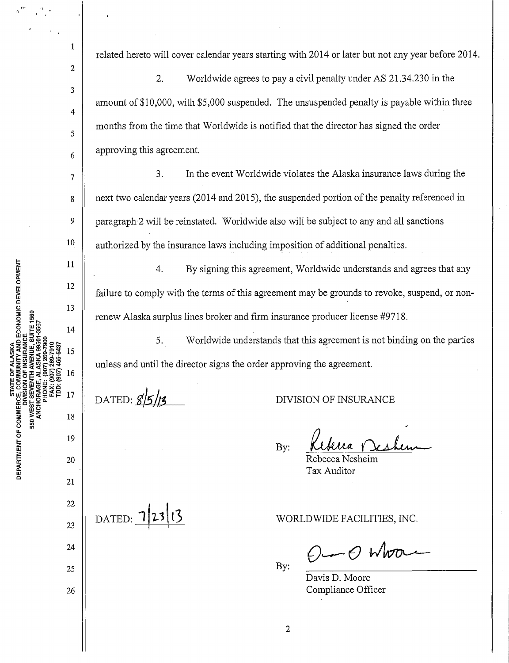related hereto will cover calendar years starting with 2014 or later but not any year before 2014.

2. Worldwide agrees to pay a civil penalty under AS 21.34.230 in the amount of \$10,000, with \$5,000 suspended. The unsuspended penalty is payable within three months from the time that Worldwide is notified that the director has signed the order approving this agreement.

3. In the event Worldwide violates the Alaska insurance laws during the next two calendar years (2014 and 2015), the suspended portion of the penalty referenced in paragraph2 will be reinstated. Worldwide also wili be subject to any and all sanctions authorized by the insurance laws including imposition of additional penalties.

4. By signing this agreement, Worldwide understands and agrees that any failure to comply with the terms of this agreement may be grounds to revoke, suspend, or nonrenew Alaska surplus lines broker and firm insurance producer license #9718.

5. Worldwide understands that this agreement is not binding on the parties unless and until the director signs the order approving the agreement.

DATED:  $85/13$ 

DATED: 12313

DIVISION OF INSURANCE

By:

Rebecca Nesheim Tax Auditor

WORLDWIDE FACILITIES, INC.

 $\rho$  or  $\rho$  where

By:

Davis D. Moore Compliance Officer

AND ECONOMIC DEVELOPMENT 550 WI MENT OF DEPAR<br>C

1

2

3

4

5

6

7

8

9

10

11

12

13

14

15

16

17

19

18

20

21

22

23

24

25

26